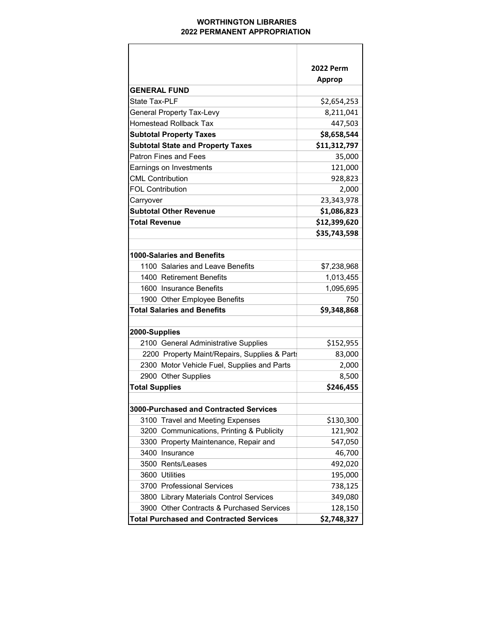## WORTHINGTON LIBRARIES 2022 PERMANENT APPROPRIATION

|                                                | 2022 Perm     |
|------------------------------------------------|---------------|
|                                                | <b>Approp</b> |
| <b>GENERAL FUND</b>                            |               |
| State Tax-PLF                                  | \$2,654,253   |
| <b>General Property Tax-Levy</b>               | 8,211,041     |
| <b>Homestead Rollback Tax</b>                  | 447,503       |
| <b>Subtotal Property Taxes</b>                 | \$8,658,544   |
| <b>Subtotal State and Property Taxes</b>       | \$11,312,797  |
| <b>Patron Fines and Fees</b>                   | 35,000        |
| Earnings on Investments                        | 121,000       |
| <b>CML Contribution</b>                        | 928,823       |
| <b>FOL Contribution</b>                        | 2,000         |
| Carryover                                      | 23,343,978    |
| <b>Subtotal Other Revenue</b>                  | \$1,086,823   |
| Total Revenue                                  | \$12,399,620  |
|                                                | \$35,743,598  |
|                                                |               |
| 1000-Salaries and Benefits                     |               |
| 1100 Salaries and Leave Benefits               | \$7,238,968   |
| 1400 Retirement Benefits                       | 1,013,455     |
| 1600 Insurance Benefits                        | 1,095,695     |
| 1900 Other Employee Benefits                   | 750           |
| <b>Total Salaries and Benefits</b>             | \$9,348,868   |
|                                                |               |
| 2000-Supplies                                  |               |
| 2100 General Administrative Supplies           | \$152,955     |
| 2200 Property Maint/Repairs, Supplies & Parts  | 83,000        |
| 2300 Motor Vehicle Fuel, Supplies and Parts    | 2,000         |
| 2900 Other Supplies                            | 8,500         |
| <b>Total Supplies</b>                          | \$246,455     |
|                                                |               |
| 3000-Purchased and Contracted Services         |               |
| 3100 Travel and Meeting Expenses               | \$130,300     |
| 3200 Communications, Printing & Publicity      | 121,902       |
| 3300 Property Maintenance, Repair and          | 547,050       |
| 3400 Insurance                                 | 46,700        |
| 3500 Rents/Leases                              | 492,020       |
| 3600 Utilities                                 | 195,000       |
| 3700 Professional Services                     | 738,125       |
| 3800 Library Materials Control Services        | 349,080       |
| 3900 Other Contracts & Purchased Services      | 128,150       |
| <b>Total Purchased and Contracted Services</b> | \$2,748,327   |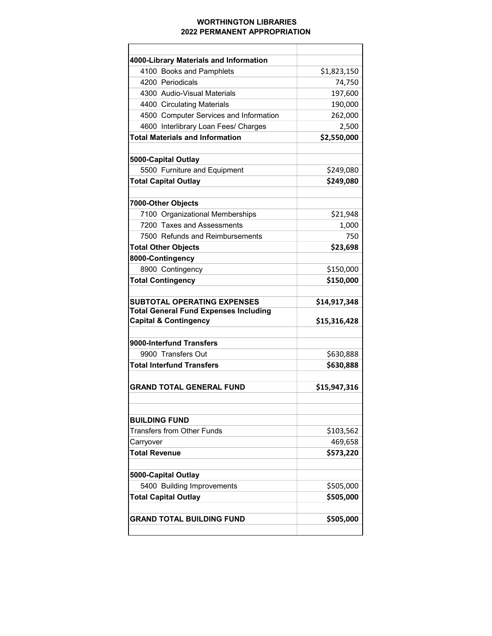## WORTHINGTON LIBRARIES 2022 PERMANENT APPROPRIATION

| 4000-Library Materials and Information                                             |              |
|------------------------------------------------------------------------------------|--------------|
| 4100 Books and Pamphlets                                                           | \$1,823,150  |
| 4200 Periodicals                                                                   | 74,750       |
| 4300 Audio-Visual Materials                                                        | 197,600      |
| 4400 Circulating Materials                                                         | 190,000      |
| 4500 Computer Services and Information                                             | 262,000      |
| 4600 Interlibrary Loan Fees/ Charges                                               | 2,500        |
| <b>Total Materials and Information</b>                                             | \$2,550,000  |
|                                                                                    |              |
| 5000-Capital Outlay                                                                |              |
| 5500 Furniture and Equipment                                                       | \$249,080    |
| <b>Total Capital Outlay</b>                                                        | \$249,080    |
| 7000-Other Objects                                                                 |              |
| 7100 Organizational Memberships                                                    | \$21,948     |
| 7200 Taxes and Assessments                                                         | 1,000        |
| 7500 Refunds and Reimbursements                                                    | 750          |
| <b>Total Other Objects</b>                                                         | \$23,698     |
| 8000-Contingency                                                                   |              |
| 8900 Contingency                                                                   | \$150,000    |
| <b>Total Contingency</b>                                                           | \$150,000    |
|                                                                                    |              |
|                                                                                    |              |
|                                                                                    |              |
| <b>SUBTOTAL OPERATING EXPENSES</b><br><b>Total General Fund Expenses Including</b> | \$14,917,348 |
| <b>Capital &amp; Contingency</b>                                                   | \$15,316,428 |
|                                                                                    |              |
| 9000-Interfund Transfers                                                           |              |
| 9900 Transfers Out                                                                 | \$630,888    |
| <b>Total Interfund Transfers</b>                                                   | \$630,888    |
|                                                                                    |              |
| <b>GRAND TOTAL GENERAL FUND</b>                                                    | \$15,947,316 |
|                                                                                    |              |
| <b>BUILDING FUND</b>                                                               |              |
| Transfers from Other Funds                                                         | \$103,562    |
| Carryover                                                                          | 469,658      |
| <b>Total Revenue</b>                                                               | \$573,220    |
|                                                                                    |              |
| 5000-Capital Outlay                                                                |              |
| 5400 Building Improvements                                                         | \$505,000    |
| <b>Total Capital Outlay</b>                                                        | \$505,000    |
| <b>GRAND TOTAL BUILDING FUND</b>                                                   | \$505,000    |